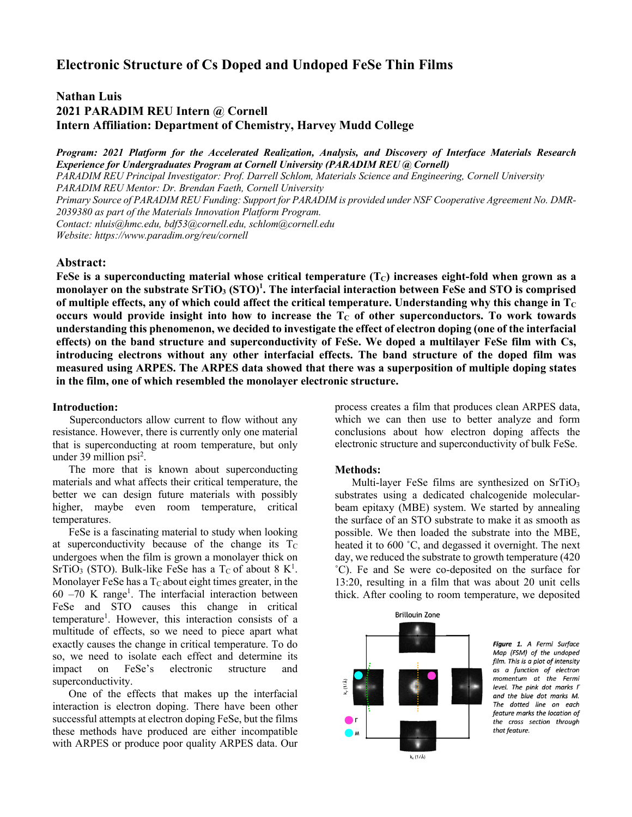# **Electronic Structure of Cs Doped and Undoped FeSe Thin Films**

# **Nathan Luis 2021 PARADIM REU Intern @ Cornell Intern Affiliation: Department of Chemistry, Harvey Mudd College**

*Program: 2021 Platform for the Accelerated Realization, Analysis, and Discovery of Interface Materials Research Experience for Undergraduates Program at Cornell University (PARADIM REU @ Cornell) PARADIM REU Principal Investigator: Prof. Darrell Schlom, Materials Science and Engineering, Cornell University PARADIM REU Mentor: Dr. Brendan Faeth, Cornell University Primary Source of PARADIM REU Funding: Support for PARADIM is provided under NSF Cooperative Agreement No. DMR-2039380 as part of the Materials Innovation Platform Program. Contact: nluis@hmc.edu, bdf53@cornell.edu, schlom@cornell.edu Website: https://www.paradim.org/reu/cornell*

## **Abstract:**

FeSe is a superconducting material whose critical temperature  $(T<sub>C</sub>)$  increases eight-fold when grown as a **monolayer on the substrate SrTiO3 (STO)1 . The interfacial interaction between FeSe and STO is comprised of multiple effects, any of which could affect the critical temperature. Understanding why this change in**  $T_c$ **occurs would provide insight into how to increase the T<sub>C</sub>** of other superconductors. To work towards **understanding this phenomenon, we decided to investigate the effect of electron doping (one of the interfacial effects) on the band structure and superconductivity of FeSe. We doped a multilayer FeSe film with Cs, introducing electrons without any other interfacial effects. The band structure of the doped film was measured using ARPES. The ARPES data showed that there was a superposition of multiple doping states in the film, one of which resembled the monolayer electronic structure.**

### **Introduction:**

 Superconductors allow current to flow without any resistance. However, there is currently only one material that is superconducting at room temperature, but only under 39 million psi<sup>2</sup>.

 The more that is known about superconducting materials and what affects their critical temperature, the better we can design future materials with possibly higher, maybe even room temperature, critical temperatures.

 FeSe is a fascinating material to study when looking at superconductivity because of the change its  $T_c$ undergoes when the film is grown a monolayer thick on SrTiO<sub>3</sub> (STO). Bulk-like FeSe has a T<sub>C</sub> of about 8  $K^1$ . Monolayer FeSe has a  $T<sub>C</sub>$  about eight times greater, in the  $60 - 70$  K range<sup>1</sup>. The interfacial interaction between FeSe and STO causes this change in critical temperature<sup>1</sup>. However, this interaction consists of a multitude of effects, so we need to piece apart what exactly causes the change in critical temperature. To do so, we need to isolate each effect and determine its impact on FeSe's electronic structure and superconductivity.

 One of the effects that makes up the interfacial interaction is electron doping. There have been other successful attempts at electron doping FeSe, but the films these methods have produced are either incompatible with ARPES or produce poor quality ARPES data. Our

process creates a film that produces clean ARPES data, which we can then use to better analyze and form conclusions about how electron doping affects the electronic structure and superconductivity of bulk FeSe.

### **Methods:**

Multi-layer FeSe films are synthesized on SrTiO<sub>3</sub> substrates using a dedicated chalcogenide molecularbeam epitaxy (MBE) system. We started by annealing the surface of an STO substrate to make it as smooth as possible. We then loaded the substrate into the MBE, heated it to 600 °C, and degassed it overnight. The next day, we reduced the substrate to growth temperature (420 ˚C). Fe and Se were co-deposited on the surface for 13:20, resulting in a film that was about 20 unit cells thick. After cooling to room temperature, we deposited



Figure 1. A Fermi Surface Map (FSM) of the undoped film. This is a plot of intensity as a function of electron momentum at the Fermi level. The pink dot marks  $\Gamma$ and the blue dot marks M. The dotted line on each feature marks the location of the cross section through that feature.